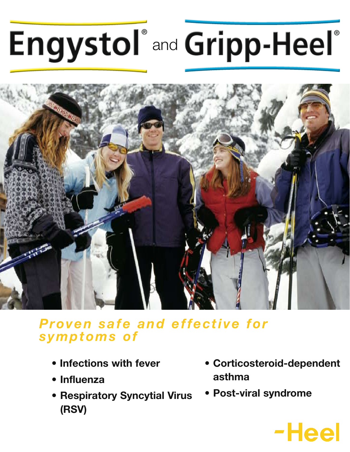# **Engystol** and Gripp-Heel



### *Proven safe and effective for symptoms of*

- **Infections with fever**
- **• Influenza**
- **• Respiratory Syncytial Virus (RSV)**
- **• Corticosteroid-dependent asthma**
- **• Post-viral syndrome**

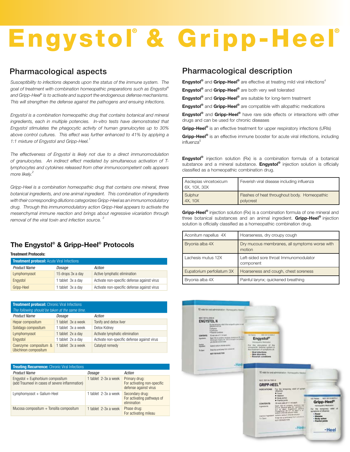# Engystol<sup>®</sup> & Gripp-Heel<sup>®</sup>

#### Pharmacological aspects

*Susceptibility to infections depends upon the status of the immune system. The goal of treatment with combination homeopathic preparations such as Engystol® and Gripp-Heel® is to activate and support the endogenous defense mechanisms. This will strengthen the defense against the pathogens and ensuing infections.* 

*Engystol is a combination homeopathic drug that contains botanical and mineral ingredients, each in multiple potencies. In-vitro tests have demonstrated that Engystol stimulates the phagocytic activity of human granulocytes up to 30% above control cultures. This effect was further enhanced to 41% by applying a*  1:1 mixture of Engystol and Gripp-Heel.<sup>1</sup>

*The effectiveness of Engystol is likely not due to a direct immunomodulation of granulocytes. An indirect effect mediated by simultaneous activation of Tlymphocytes and cytokines released from other immunocompetent cells appears more likely.2*

*Gripp-Heel is a combination homeopathic drug that contains one mineral, three botanical ingredients, and one animal ingredient. This combination of ingredients with their corresponding dilutions categorizes Gripp-Heel as an immunomodulatory drug. Through this immunomodulatory action Gripp-Heel appears to activate the mesenchymal immune reaction and brings about regressive vicariation through removal of the viral toxin and infection source. <sup>3</sup>*

#### **The Engystol® & Gripp-Heel® Protocols**

**Treatment Protocols:**

| <b>Treatment protocol: Acute Viral Infections</b> |                   |                                             |  |  |
|---------------------------------------------------|-------------------|---------------------------------------------|--|--|
| <b>Product Name</b>                               | Dosage            | Action                                      |  |  |
| Lymphomyosot                                      | 15 drops 3x a day | Active lymphatic elimination                |  |  |
| Engystol                                          | 1 tablet 3x a day | Activate non-specific defense against virus |  |  |
| Gripp-Heel                                        | 1 tablet 3x a day | Activate non-specific defense against virus |  |  |

| <b>Treatment protocol: Chronic Viral Infections</b> |                    |                                             |  |  |
|-----------------------------------------------------|--------------------|---------------------------------------------|--|--|
| The following should be taken at the same time.     |                    |                                             |  |  |
| <b>Product Name</b>                                 | Dosage             | Action                                      |  |  |
| Hepar compositum                                    | 1 tablet 3x a week | Tonify and detox liver                      |  |  |
| Solidago compositum                                 | 1 tablet 3x a week | Detox Kidney                                |  |  |
| Lymphomyosot                                        | 1 tablet 2x a day  | Activate lymphatic elimination              |  |  |
| Engystol                                            | 1 tablet 2x a day  | Activate non-specific defense against virus |  |  |
| Coenzyme compositum &<br>Ubichinon compositum       | 1 tablet 3x a week | Catalyst remedy                             |  |  |

| <b>Treating Recurrence:</b> Chronic Viral Infections                               |                      |                                                                       |  |  |
|------------------------------------------------------------------------------------|----------------------|-----------------------------------------------------------------------|--|--|
| <b>Product Name</b>                                                                | Dosage               | Action                                                                |  |  |
| Engystol + Euphorbium compositum<br>(add Traumeel in cases of severe inflammation) | 1 tablet 2-3x a week | Primary drug:<br>For activating non-specific<br>defense against virus |  |  |
| Lymphomyosot + Galium-Heel                                                         | 1 tablet 2-3x a week | Secondary drug:<br>For activating pathways of<br>elimination          |  |  |
| Mucosa compositum $+$ Tonsilla compositum                                          | 1 tablet 2-3x a week | Phase drug:<br>For activating mileau                                  |  |  |

#### Pharmacological description

**Engystol<sup>®</sup>** and **Gripp-Heel<sup>®</sup>** are effective at treating mild viral infections<sup>4</sup>

**Engystol®** and **Gripp-Heel®** are both very well tolerated

**Engystol®** and **Gripp-Heel®** are suitable for long-term treatment

**Engystol®** and **Gripp-Heel®** are compatible with allopathic medications

**Engystol®** and **Gripp-Heel®** have rare side effects or interactions with other drugs and can be used for chronic diseases

**Gripp-Heel®** is an effective treatment for upper respiratory infections (URIs)

**Gripp-Heel®** is an effective immune booster for acute viral infections, including influenza<sup>5</sup>

**Engystol®** injection solution (Rx) is a combination formula of a botanical substance and a mineral substance. **Engystol®** injection solution is officially classified as a homeopathic combination drug.

| Asclepias vincetoxicum<br>$\mid$ 6X, 10X, 30X | Feverish viral disease including influenza   |
|-----------------------------------------------|----------------------------------------------|
| Sulphur                                       | Flashes of heat throughout body. Homeopathic |
| $\vert$ 4X, 10X                               | polycrest                                    |

**Gripp-Heel<sup>®</sup>** injection solution (Rx) is a combination formula of one mineral and three botanical substances and an animal ingredient. **Gripp-Heel®** injection solution is officially classified as a homeopathic combination drug.

| Aconitum napellus 4X      | Hoarseness, dry croupy cough                            |  |
|---------------------------|---------------------------------------------------------|--|
| Bryonia alba 4X           | Dry mucous membranes, all symptoms worse with<br>motion |  |
| Lachesis mutus 12X        | Left-sided sore throat Immunomodulator<br>component     |  |
| Eupatorium perfoliatum 3X | Hoarseness and cough, chest soreness                    |  |
| Bryonia alba 4X           | Painful larynx; quickened breathing                     |  |